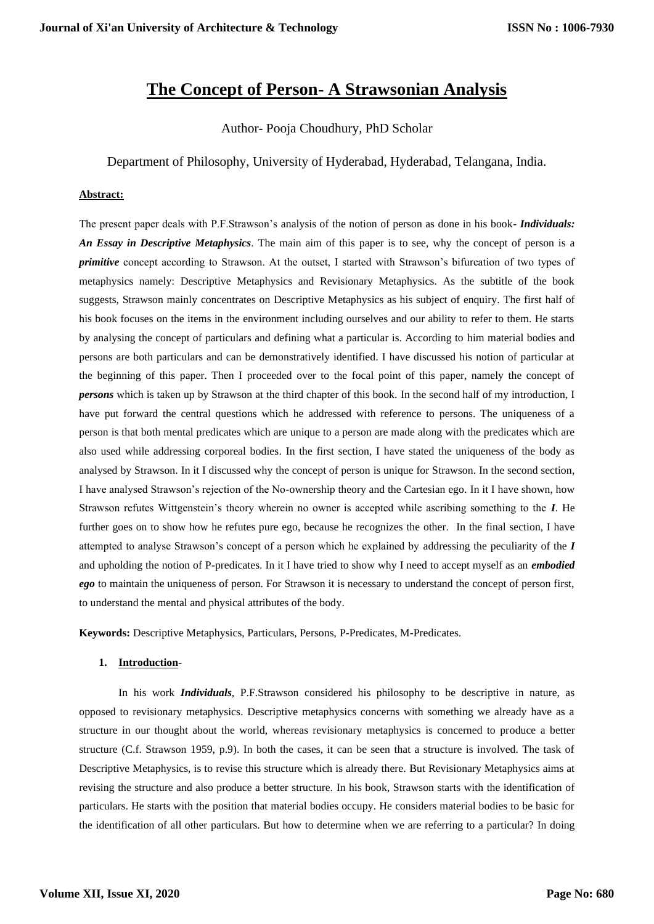# **The Concept of Person- A Strawsonian Analysis**

Author- Pooja Choudhury, PhD Scholar

Department of Philosophy, University of Hyderabad, Hyderabad, Telangana, India.

# **Abstract:**

The present paper deals with P.F.Strawson's analysis of the notion of person as done in his book- *Individuals: An Essay in Descriptive Metaphysics*. The main aim of this paper is to see, why the concept of person is a *primitive* concept according to Strawson. At the outset, I started with Strawson's bifurcation of two types of metaphysics namely: Descriptive Metaphysics and Revisionary Metaphysics. As the subtitle of the book suggests, Strawson mainly concentrates on Descriptive Metaphysics as his subject of enquiry. The first half of his book focuses on the items in the environment including ourselves and our ability to refer to them. He starts by analysing the concept of particulars and defining what a particular is. According to him material bodies and persons are both particulars and can be demonstratively identified. I have discussed his notion of particular at the beginning of this paper. Then I proceeded over to the focal point of this paper, namely the concept of *persons* which is taken up by Strawson at the third chapter of this book. In the second half of my introduction, I have put forward the central questions which he addressed with reference to persons. The uniqueness of a person is that both mental predicates which are unique to a person are made along with the predicates which are also used while addressing corporeal bodies. In the first section, I have stated the uniqueness of the body as analysed by Strawson. In it I discussed why the concept of person is unique for Strawson. In the second section, I have analysed Strawson's rejection of the No-ownership theory and the Cartesian ego. In it I have shown, how Strawson refutes Wittgenstein's theory wherein no owner is accepted while ascribing something to the *I*. He further goes on to show how he refutes pure ego, because he recognizes the other. In the final section, I have attempted to analyse Strawson's concept of a person which he explained by addressing the peculiarity of the *I* and upholding the notion of P-predicates. In it I have tried to show why I need to accept myself as an *embodied ego* to maintain the uniqueness of person. For Strawson it is necessary to understand the concept of person first, to understand the mental and physical attributes of the body.

**Keywords:** Descriptive Metaphysics, Particulars, Persons, P-Predicates, M-Predicates.

## **1. Introduction-**

In his work *Individuals*, P.F.Strawson considered his philosophy to be descriptive in nature, as opposed to revisionary metaphysics. Descriptive metaphysics concerns with something we already have as a structure in our thought about the world, whereas revisionary metaphysics is concerned to produce a better structure (C.f. Strawson 1959, p.9). In both the cases, it can be seen that a structure is involved. The task of Descriptive Metaphysics, is to revise this structure which is already there. But Revisionary Metaphysics aims at revising the structure and also produce a better structure. In his book, Strawson starts with the identification of particulars. He starts with the position that material bodies occupy. He considers material bodies to be basic for the identification of all other particulars. But how to determine when we are referring to a particular? In doing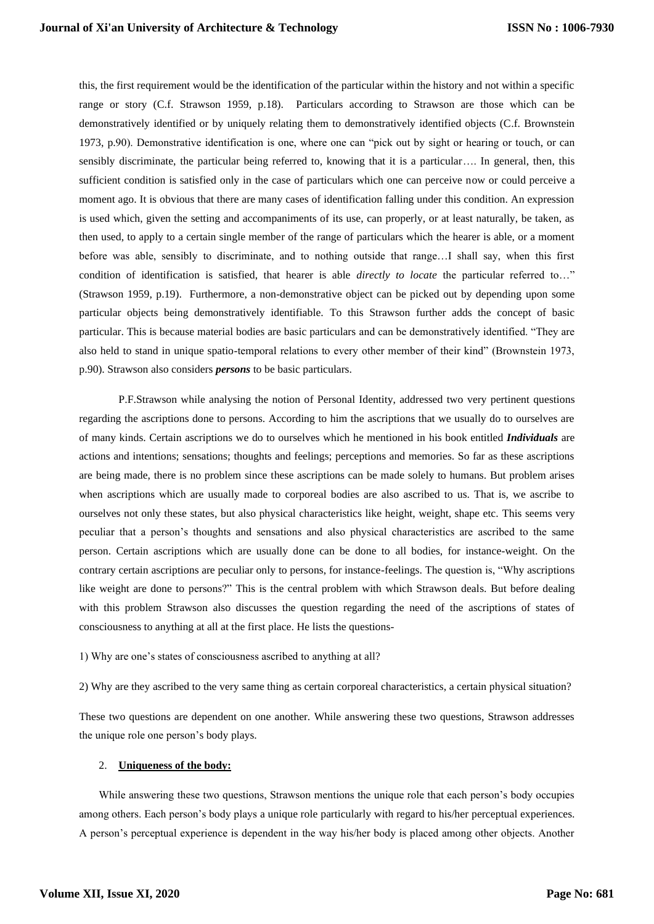this, the first requirement would be the identification of the particular within the history and not within a specific range or story (C.f. Strawson 1959, p.18). Particulars according to Strawson are those which can be demonstratively identified or by uniquely relating them to demonstratively identified objects (C.f. Brownstein 1973, p.90). Demonstrative identification is one, where one can "pick out by sight or hearing or touch, or can sensibly discriminate, the particular being referred to, knowing that it is a particular…. In general, then, this sufficient condition is satisfied only in the case of particulars which one can perceive now or could perceive a moment ago. It is obvious that there are many cases of identification falling under this condition. An expression is used which, given the setting and accompaniments of its use, can properly, or at least naturally, be taken, as then used, to apply to a certain single member of the range of particulars which the hearer is able, or a moment before was able, sensibly to discriminate, and to nothing outside that range…I shall say, when this first condition of identification is satisfied, that hearer is able *directly to locate* the particular referred to…" (Strawson 1959, p.19). Furthermore, a non-demonstrative object can be picked out by depending upon some particular objects being demonstratively identifiable. To this Strawson further adds the concept of basic particular. This is because material bodies are basic particulars and can be demonstratively identified. "They are also held to stand in unique spatio-temporal relations to every other member of their kind" (Brownstein 1973, p.90). Strawson also considers *persons* to be basic particulars.

P.F.Strawson while analysing the notion of Personal Identity, addressed two very pertinent questions regarding the ascriptions done to persons. According to him the ascriptions that we usually do to ourselves are of many kinds. Certain ascriptions we do to ourselves which he mentioned in his book entitled *Individuals* are actions and intentions; sensations; thoughts and feelings; perceptions and memories. So far as these ascriptions are being made, there is no problem since these ascriptions can be made solely to humans. But problem arises when ascriptions which are usually made to corporeal bodies are also ascribed to us. That is, we ascribe to ourselves not only these states, but also physical characteristics like height, weight, shape etc. This seems very peculiar that a person's thoughts and sensations and also physical characteristics are ascribed to the same person. Certain ascriptions which are usually done can be done to all bodies, for instance-weight. On the contrary certain ascriptions are peculiar only to persons, for instance-feelings. The question is, "Why ascriptions like weight are done to persons?" This is the central problem with which Strawson deals. But before dealing with this problem Strawson also discusses the question regarding the need of the ascriptions of states of consciousness to anything at all at the first place. He lists the questions-

1) Why are one's states of consciousness ascribed to anything at all?

2) Why are they ascribed to the very same thing as certain corporeal characteristics, a certain physical situation?

These two questions are dependent on one another. While answering these two questions, Strawson addresses the unique role one person's body plays.

#### 2. **Uniqueness of the body:**

While answering these two questions, Strawson mentions the unique role that each person's body occupies among others. Each person's body plays a unique role particularly with regard to his/her perceptual experiences. A person's perceptual experience is dependent in the way his/her body is placed among other objects. Another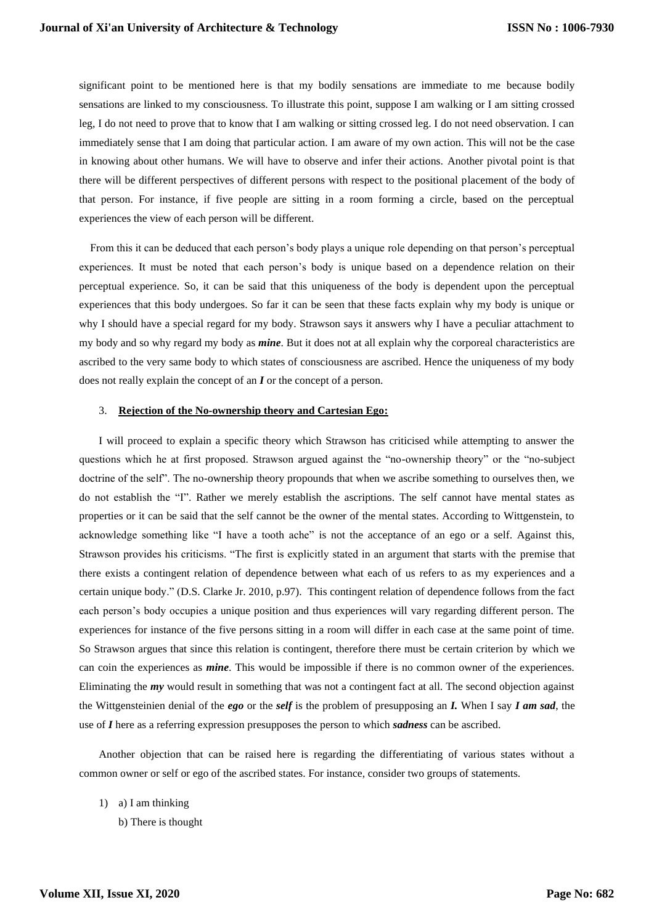significant point to be mentioned here is that my bodily sensations are immediate to me because bodily sensations are linked to my consciousness. To illustrate this point, suppose I am walking or I am sitting crossed leg, I do not need to prove that to know that I am walking or sitting crossed leg. I do not need observation. I can immediately sense that I am doing that particular action. I am aware of my own action. This will not be the case in knowing about other humans. We will have to observe and infer their actions. Another pivotal point is that there will be different perspectives of different persons with respect to the positional placement of the body of that person. For instance, if five people are sitting in a room forming a circle, based on the perceptual experiences the view of each person will be different.

 From this it can be deduced that each person's body plays a unique role depending on that person's perceptual experiences. It must be noted that each person's body is unique based on a dependence relation on their perceptual experience. So, it can be said that this uniqueness of the body is dependent upon the perceptual experiences that this body undergoes. So far it can be seen that these facts explain why my body is unique or why I should have a special regard for my body. Strawson says it answers why I have a peculiar attachment to my body and so why regard my body as *mine*. But it does not at all explain why the corporeal characteristics are ascribed to the very same body to which states of consciousness are ascribed. Hence the uniqueness of my body does not really explain the concept of an *I* or the concept of a person.

#### 3. **Rejection of the No-ownership theory and Cartesian Ego:**

I will proceed to explain a specific theory which Strawson has criticised while attempting to answer the questions which he at first proposed. Strawson argued against the "no-ownership theory" or the "no-subject doctrine of the self". The no-ownership theory propounds that when we ascribe something to ourselves then, we do not establish the "I". Rather we merely establish the ascriptions. The self cannot have mental states as properties or it can be said that the self cannot be the owner of the mental states. According to Wittgenstein, to acknowledge something like "I have a tooth ache" is not the acceptance of an ego or a self. Against this, Strawson provides his criticisms. "The first is explicitly stated in an argument that starts with the premise that there exists a contingent relation of dependence between what each of us refers to as my experiences and a certain unique body." (D.S. Clarke Jr. 2010, p.97). This contingent relation of dependence follows from the fact each person's body occupies a unique position and thus experiences will vary regarding different person. The experiences for instance of the five persons sitting in a room will differ in each case at the same point of time. So Strawson argues that since this relation is contingent, therefore there must be certain criterion by which we can coin the experiences as *mine*. This would be impossible if there is no common owner of the experiences. Eliminating the *my* would result in something that was not a contingent fact at all. The second objection against the Wittgensteinien denial of the *ego* or the *self* is the problem of presupposing an *I.* When I say *I am sad*, the use of *I* here as a referring expression presupposes the person to which *sadness* can be ascribed.

Another objection that can be raised here is regarding the differentiating of various states without a common owner or self or ego of the ascribed states. For instance, consider two groups of statements.

- 1) a) I am thinking
	- b) There is thought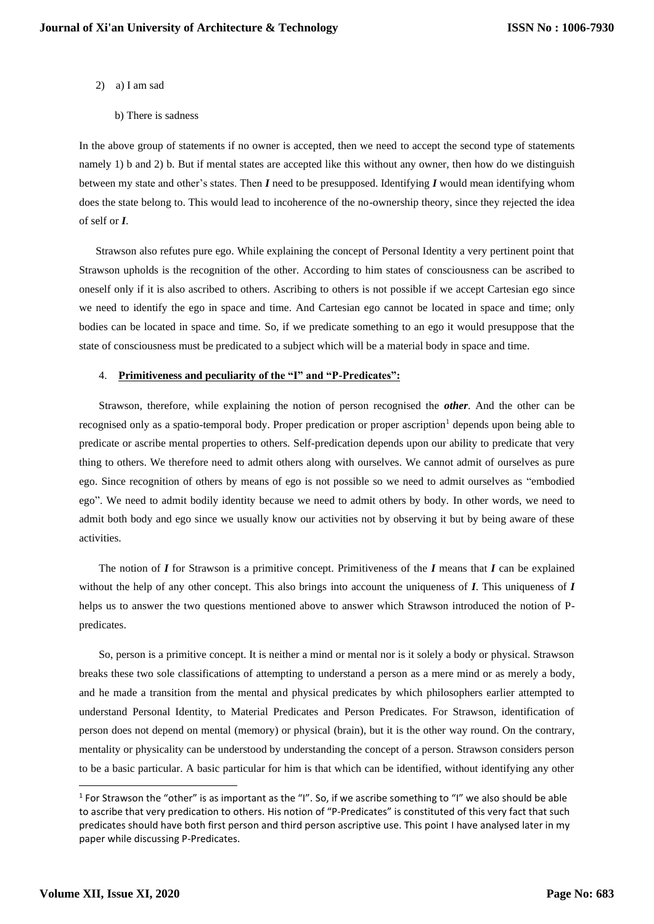- 2) a) I am sad
	- b) There is sadness

In the above group of statements if no owner is accepted, then we need to accept the second type of statements namely 1) b and 2) b. But if mental states are accepted like this without any owner, then how do we distinguish between my state and other's states. Then *I* need to be presupposed. Identifying *I* would mean identifying whom does the state belong to. This would lead to incoherence of the no-ownership theory, since they rejected the idea of self or *I*.

 Strawson also refutes pure ego. While explaining the concept of Personal Identity a very pertinent point that Strawson upholds is the recognition of the other. According to him states of consciousness can be ascribed to oneself only if it is also ascribed to others. Ascribing to others is not possible if we accept Cartesian ego since we need to identify the ego in space and time. And Cartesian ego cannot be located in space and time; only bodies can be located in space and time. So, if we predicate something to an ego it would presuppose that the state of consciousness must be predicated to a subject which will be a material body in space and time.

### 4. **Primitiveness and peculiarity of the "I" and "P-Predicates":**

Strawson, therefore, while explaining the notion of person recognised the *other*. And the other can be recognised only as a spatio-temporal body. Proper predication or proper ascription<sup>1</sup> depends upon being able to predicate or ascribe mental properties to others. Self-predication depends upon our ability to predicate that very thing to others. We therefore need to admit others along with ourselves. We cannot admit of ourselves as pure ego. Since recognition of others by means of ego is not possible so we need to admit ourselves as "embodied ego". We need to admit bodily identity because we need to admit others by body. In other words, we need to admit both body and ego since we usually know our activities not by observing it but by being aware of these activities.

The notion of *I* for Strawson is a primitive concept. Primitiveness of the *I* means that *I* can be explained without the help of any other concept. This also brings into account the uniqueness of *I*. This uniqueness of *I* helps us to answer the two questions mentioned above to answer which Strawson introduced the notion of Ppredicates.

So, person is a primitive concept. It is neither a mind or mental nor is it solely a body or physical. Strawson breaks these two sole classifications of attempting to understand a person as a mere mind or as merely a body, and he made a transition from the mental and physical predicates by which philosophers earlier attempted to understand Personal Identity, to Material Predicates and Person Predicates. For Strawson, identification of person does not depend on mental (memory) or physical (brain), but it is the other way round. On the contrary, mentality or physicality can be understood by understanding the concept of a person. Strawson considers person to be a basic particular. A basic particular for him is that which can be identified, without identifying any other

 $1$  For Strawson the "other" is as important as the "I". So, if we ascribe something to "I" we also should be able to ascribe that very predication to others. His notion of "P-Predicates" is constituted of this very fact that such predicates should have both first person and third person ascriptive use. This point I have analysed later in my paper while discussing P-Predicates.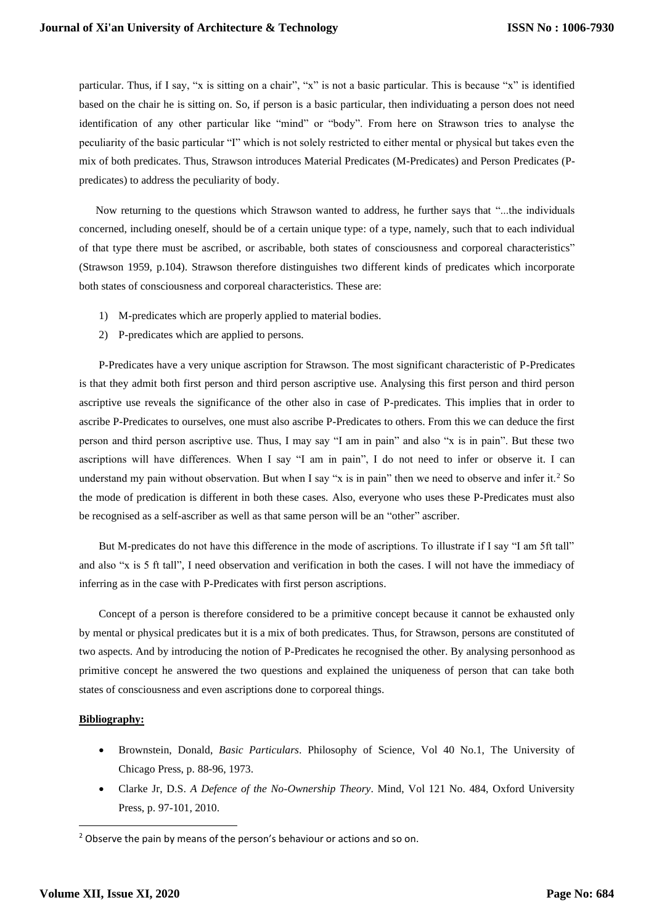particular. Thus, if I say, "x is sitting on a chair", "x" is not a basic particular. This is because "x" is identified based on the chair he is sitting on. So, if person is a basic particular, then individuating a person does not need identification of any other particular like "mind" or "body". From here on Strawson tries to analyse the peculiarity of the basic particular "I" which is not solely restricted to either mental or physical but takes even the mix of both predicates. Thus, Strawson introduces Material Predicates (M-Predicates) and Person Predicates (Ppredicates) to address the peculiarity of body.

 Now returning to the questions which Strawson wanted to address, he further says that "...the individuals concerned, including oneself, should be of a certain unique type: of a type, namely, such that to each individual of that type there must be ascribed, or ascribable, both states of consciousness and corporeal characteristics" (Strawson 1959, p.104). Strawson therefore distinguishes two different kinds of predicates which incorporate both states of consciousness and corporeal characteristics. These are:

- 1) M-predicates which are properly applied to material bodies.
- 2) P-predicates which are applied to persons.

P-Predicates have a very unique ascription for Strawson. The most significant characteristic of P-Predicates is that they admit both first person and third person ascriptive use. Analysing this first person and third person ascriptive use reveals the significance of the other also in case of P-predicates. This implies that in order to ascribe P-Predicates to ourselves, one must also ascribe P-Predicates to others. From this we can deduce the first person and third person ascriptive use. Thus, I may say "I am in pain" and also "x is in pain". But these two ascriptions will have differences. When I say "I am in pain", I do not need to infer or observe it. I can understand my pain without observation. But when I say "x is in pain" then we need to observe and infer it.<sup>2</sup> So the mode of predication is different in both these cases. Also, everyone who uses these P-Predicates must also be recognised as a self-ascriber as well as that same person will be an "other" ascriber.

But M-predicates do not have this difference in the mode of ascriptions. To illustrate if I say "I am 5ft tall" and also "x is 5 ft tall", I need observation and verification in both the cases. I will not have the immediacy of inferring as in the case with P-Predicates with first person ascriptions.

Concept of a person is therefore considered to be a primitive concept because it cannot be exhausted only by mental or physical predicates but it is a mix of both predicates. Thus, for Strawson, persons are constituted of two aspects. And by introducing the notion of P-Predicates he recognised the other. By analysing personhood as primitive concept he answered the two questions and explained the uniqueness of person that can take both states of consciousness and even ascriptions done to corporeal things.

#### **Bibliography:**

- Brownstein, Donald, *Basic Particulars*. Philosophy of Science, Vol 40 No.1, The University of Chicago Press, p. 88-96, 1973.
- Clarke Jr, D.S. *A Defence of the No-Ownership Theory*. Mind, Vol 121 No. 484, Oxford University Press, p. 97-101, 2010.

<sup>&</sup>lt;sup>2</sup> Observe the pain by means of the person's behaviour or actions and so on.